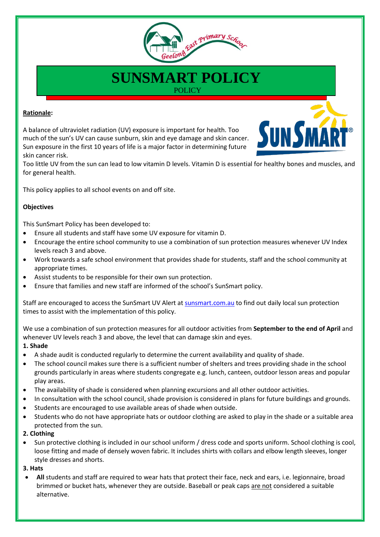

# **SUNSMART POLICY POLICY**

## **Rationale:**

A balance of ultraviolet radiation (UV) exposure is important for health. Too much of the sun's UV can cause sunburn, skin and eye damage and skin cancer. Sun exposure in the first 10 years of life is a major factor in determining future skin cancer risk.



Too little UV from the sun can lead to low vitamin D levels. Vitamin D is essential for healthy bones and muscles, and for general health.

This policy applies to all school events on and off site.

# **Objectives**

This SunSmart Policy has been developed to:

- Ensure all students and staff have some UV exposure for vitamin D.
- Encourage the entire school community to use a combination of sun protection measures whenever UV Index levels reach 3 and above.
- Work towards a safe school environment that provides shade for students, staff and the school community at appropriate times.
- Assist students to be responsible for their own sun protection.
- Ensure that families and new staff are informed of the school's SunSmart policy.

Staff are encouraged to access the SunSmart UV Alert at sunsmart.com.au to find out daily local sun protection times to assist with the implementation of this policy.

We use a combination of sun protection measures for all outdoor activities from **September to the end of April** and whenever UV levels reach 3 and above, the level that can damage skin and eyes.

## **1. Shade**

- A shade audit is conducted regularly to determine the current availability and quality of shade.
- The school council makes sure there is a sufficient number of shelters and trees providing shade in the school grounds particularly in areas where students congregate e.g. lunch, canteen, outdoor lesson areas and popular play areas.
- The availability of shade is considered when planning excursions and all other outdoor activities.
- In consultation with the school council, shade provision is considered in plans for future buildings and grounds.
- Students are encouraged to use available areas of shade when outside.
- Students who do not have appropriate hats or outdoor clothing are asked to play in the shade or a suitable area protected from the sun.

## **2. Clothing**

 Sun protective clothing is included in our school uniform / dress code and sports uniform. School clothing is cool, loose fitting and made of densely woven fabric. It includes shirts with collars and elbow length sleeves, longer style dresses and shorts.

## **3. Hats**

 **All** students and staff are required to wear hats that protect their face, neck and ears, i.e. legionnaire, broad brimmed or bucket hats, whenever they are outside. Baseball or peak caps are not considered a suitable alternative.